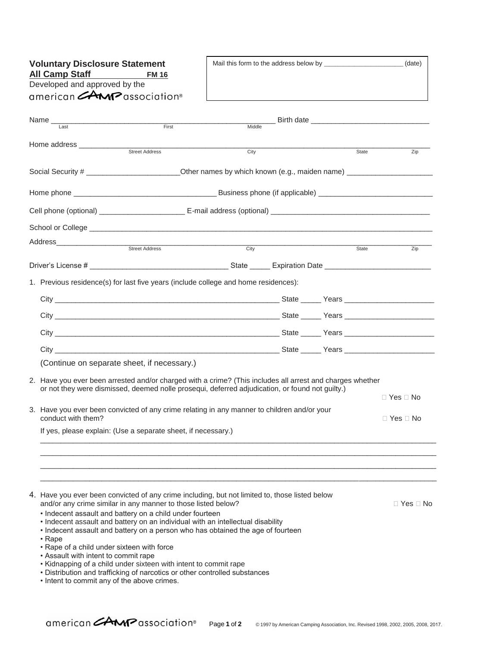| <b>Voluntary Disclosure Statement</b>                                                                                                                                                                        |                                                                                                                                                                    |                                                                                                                |        |  |  |       | (date)               |
|--------------------------------------------------------------------------------------------------------------------------------------------------------------------------------------------------------------|--------------------------------------------------------------------------------------------------------------------------------------------------------------------|----------------------------------------------------------------------------------------------------------------|--------|--|--|-------|----------------------|
|                                                                                                                                                                                                              | <b>All Camp Staff</b><br>Developed and approved by the                                                                                                             | <b>FM 16</b>                                                                                                   |        |  |  |       |                      |
|                                                                                                                                                                                                              | american <b>AMP</b> association®                                                                                                                                   |                                                                                                                |        |  |  |       |                      |
|                                                                                                                                                                                                              |                                                                                                                                                                    |                                                                                                                |        |  |  |       |                      |
|                                                                                                                                                                                                              |                                                                                                                                                                    | First <b>First</b>                                                                                             |        |  |  |       |                      |
|                                                                                                                                                                                                              | Last                                                                                                                                                               |                                                                                                                | Middle |  |  |       |                      |
|                                                                                                                                                                                                              |                                                                                                                                                                    | Street Address                                                                                                 |        |  |  |       |                      |
|                                                                                                                                                                                                              |                                                                                                                                                                    |                                                                                                                | City   |  |  | State | Zip                  |
|                                                                                                                                                                                                              |                                                                                                                                                                    | Social Security # ____________________________Other names by which known (e.g., maiden name) _________________ |        |  |  |       |                      |
|                                                                                                                                                                                                              |                                                                                                                                                                    |                                                                                                                |        |  |  |       |                      |
|                                                                                                                                                                                                              |                                                                                                                                                                    |                                                                                                                |        |  |  |       |                      |
|                                                                                                                                                                                                              |                                                                                                                                                                    |                                                                                                                |        |  |  |       |                      |
|                                                                                                                                                                                                              |                                                                                                                                                                    |                                                                                                                |        |  |  |       |                      |
|                                                                                                                                                                                                              |                                                                                                                                                                    |                                                                                                                |        |  |  |       |                      |
|                                                                                                                                                                                                              |                                                                                                                                                                    |                                                                                                                | City   |  |  | State | Zip                  |
|                                                                                                                                                                                                              |                                                                                                                                                                    |                                                                                                                |        |  |  |       |                      |
|                                                                                                                                                                                                              |                                                                                                                                                                    | 1. Previous residence(s) for last five years (include college and home residences):                            |        |  |  |       |                      |
|                                                                                                                                                                                                              |                                                                                                                                                                    |                                                                                                                |        |  |  |       |                      |
|                                                                                                                                                                                                              |                                                                                                                                                                    |                                                                                                                |        |  |  |       |                      |
|                                                                                                                                                                                                              |                                                                                                                                                                    |                                                                                                                |        |  |  |       |                      |
|                                                                                                                                                                                                              |                                                                                                                                                                    |                                                                                                                |        |  |  |       |                      |
|                                                                                                                                                                                                              |                                                                                                                                                                    |                                                                                                                |        |  |  |       |                      |
|                                                                                                                                                                                                              |                                                                                                                                                                    |                                                                                                                |        |  |  |       |                      |
|                                                                                                                                                                                                              | (Continue on separate sheet, if necessary.)                                                                                                                        |                                                                                                                |        |  |  |       |                      |
| 2. Have you ever been arrested and/or charged with a crime? (This includes all arrest and charges whether<br>or not they were dismissed, deemed nolle prosequi, deferred adjudication, or found not guilty.) |                                                                                                                                                                    |                                                                                                                |        |  |  |       |                      |
|                                                                                                                                                                                                              |                                                                                                                                                                    |                                                                                                                |        |  |  |       | $\Box$ Yes $\Box$ No |
|                                                                                                                                                                                                              | 3. Have you ever been convicted of any crime relating in any manner to children and/or your                                                                        |                                                                                                                |        |  |  |       |                      |
| conduct with them?                                                                                                                                                                                           |                                                                                                                                                                    |                                                                                                                |        |  |  |       | $\Box$ Yes $\Box$ No |
|                                                                                                                                                                                                              |                                                                                                                                                                    | If yes, please explain: (Use a separate sheet, if necessary.)                                                  |        |  |  |       |                      |
|                                                                                                                                                                                                              |                                                                                                                                                                    |                                                                                                                |        |  |  |       |                      |
|                                                                                                                                                                                                              |                                                                                                                                                                    |                                                                                                                |        |  |  |       |                      |
|                                                                                                                                                                                                              |                                                                                                                                                                    |                                                                                                                |        |  |  |       |                      |
|                                                                                                                                                                                                              |                                                                                                                                                                    |                                                                                                                |        |  |  |       |                      |
|                                                                                                                                                                                                              | 4. Have you ever been convicted of any crime including, but not limited to, those listed below<br>and/or any crime similar in any manner to those listed below?    |                                                                                                                |        |  |  |       | □ Yes □ No           |
|                                                                                                                                                                                                              | • Indecent assault and battery on a child under fourteen                                                                                                           |                                                                                                                |        |  |  |       |                      |
|                                                                                                                                                                                                              | • Indecent assault and battery on an individual with an intellectual disability<br>• Indecent assault and battery on a person who has obtained the age of fourteen |                                                                                                                |        |  |  |       |                      |
|                                                                                                                                                                                                              | • Rape                                                                                                                                                             |                                                                                                                |        |  |  |       |                      |
|                                                                                                                                                                                                              | • Rape of a child under sixteen with force<br>• Assault with intent to commit rape                                                                                 |                                                                                                                |        |  |  |       |                      |
|                                                                                                                                                                                                              | • Kidnapping of a child under sixteen with intent to commit rape<br>• Distribution and trafficking of narcotics or other controlled substances                     |                                                                                                                |        |  |  |       |                      |
|                                                                                                                                                                                                              | • Intent to commit any of the above crimes.                                                                                                                        |                                                                                                                |        |  |  |       |                      |
|                                                                                                                                                                                                              |                                                                                                                                                                    |                                                                                                                |        |  |  |       |                      |

Ē

٦